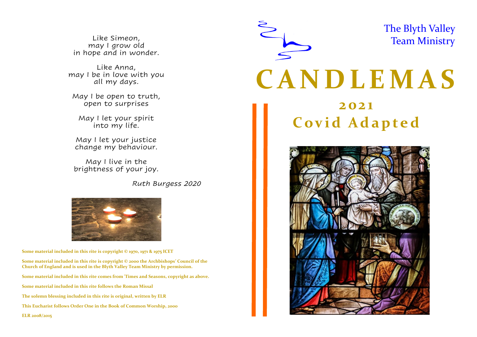Like Simeon, may I grow old in hope and in wonder.

Like Anna, may I be in love with you all my days.

May I be open to truth, open to surprises

May I let your spirit into my life.

May I let your justice change my behaviour.

May I live in the brightness of your joy.

*Ruth Burgess 2020*



**Some material included in this rite is copyright © 1970, 1971 & 1975 ICET**

**Some material included in this rite is copyright © 2000 the Archbishops' Council of the Church of England and is used in the Blyth Valley Team Ministry by permission. Some material included in this rite comes from 'Times and Seasons, copyright as above. Some material included in this rite follows the Roman Missal The solemn blessing included in this rite is original, written by ELR This Eucharist follows Order One in the Book of Common Worship, 2000 ELR 2008/2015**

 $ELK 2008/2015$ 

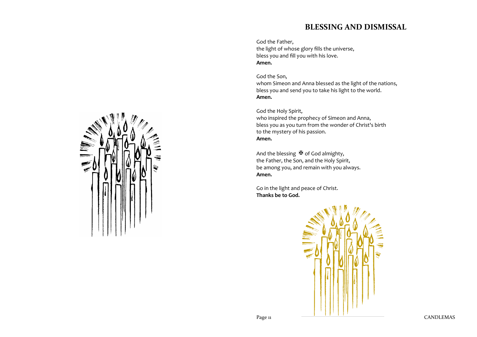# **BLESSING AND DISMISSAL**

God the Father, the light of whose glory fills the universe, bless you and fill you with his love. **Amen.**

God the Son, whom Simeon and Anna blessed as the light of the nations, bless you and send you to take his light to the world. **Amen.**

God the Holy Spirit, who inspired the prophecy of Simeon and Anna, bless you as you turn from the wonder of Christ's birth to the mystery of his passion. **Amen.**

And the blessing  $\mathbb F$  of God almighty, the Father, the Son, and the Holy Spirit, be among you, and remain with you always. **Amen.**

Go in the light and peace of Christ. **Thanks be to God.**



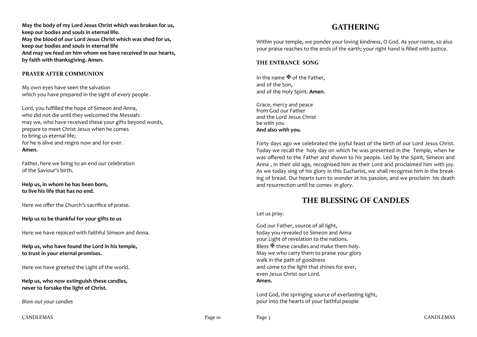**May the body of my Lord Jesus Christ which was broken for us, keep our bodies and souls in eternal life. May the blood of our Lord Jesus Christ which was shed for us, keep our bodies and souls in eternal life And may we feed on him whom we have received in our hearts, by faith with thanksgiving. Amen.**

#### **PRAYER AFTER COMMUNION**

My own eyes have seen the salvation which you have prepared in the sight of every people.

Lord, you fulfilled the hope of Simeon and Anna, who did not die until they welcomed the Messiah: may we, who have received these your gifts beyond words, prepare to meet Christ Jesus when he comes to bring us eternal life; for he is alive and reigns now and for ever. **Amen.**

Father, here we bring to an end our celebration of the Saviour's birth.

#### **Help us, in whom he has been born, to live his life that has no end.**

Here we offer the Church's sacrifice of praise.

#### **Help us to be thankful for your gifts to us**

Here we have rejoiced with faithful Simeon and Anna.

#### **Help us, who have found the Lord in his temple, to trust in your eternal promises.**

Here we have greeted the Light of the world.

**Help us, who now extinguish these candles, never to forsake the light of Christ.** 

*Blow out your candles*

# **GATHERING**

Within your temple, we ponder your loving kindness, O God. As your name, so also your praise reaches to the ends of the earth; your right hand is filled with justice.

#### **THE ENTRANCE SONG**

In the name  $\mathbf{\mathbb{F}}$  of the Father, and of the Son, and of the Holy Spirit. **Amen**.

Grace, mercy and peace from God our Father and the Lord Jesus Christ be with you **And also with you.**

Forty days ago we celebrated the joyful feast of the birth of our Lord Jesus Christ. Today we recall the holy day on which he was presented in the Temple, when he was offered to the Father and shown to his people. Led by the Spirit, Simeon and Anna , in their old age, recognised him as their Lord and proclaimed him with joy. As we today sing of his glory in this Eucharist, we shall recognise him in the breaking of bread. Our hearts turn to wonder at his passion, and we proclaim his death and resurrection until he comes in glory.

## **THE BLESSING OF CANDLES**

Let us pray.

God our Father, source of all light, today you revealed to Simeon and Anna your Light of revelation to the nations. Bless  $\mathbf{\Psi}$  these candles and make them holy. May we who carry them to praise your glory walk in the path of goodness and come to the light that shines for ever, even Jesus Christ our Lord. **Amen.**

Lord God, the springing source of everlasting light, pour into the hearts of your faithful people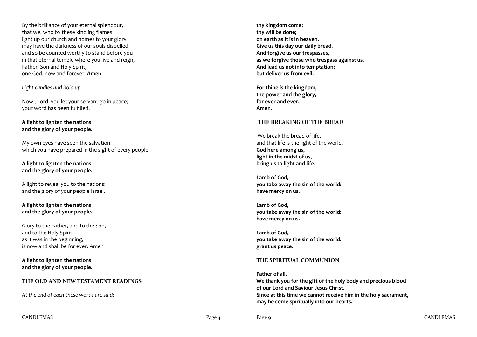By the brilliance of your eternal splendour, that we, who by these kindling flames light up our church and homes to your glory may have the darkness of our souls dispelled and so be counted worthy to stand before you in that eternal temple where you live and reign, Father, Son and Holy Spirit, one God, now and forever. **Amen**

*Light candles and hold up*

Now , Lord, you let your servant go in peace; your word has been fulfilled.

**A light to lighten the nations and the glory of your people.**

My own eyes have seen the salvation: which you have prepared in the sight of every people.

#### **A light to lighten the nations and the glory of your people.**

A light to reveal you to the nations: and the glory of your people Israel.

**A light to lighten the nations and the glory of your people.**

Glory to the Father, and to the Son, and to the Holy Spirit: as it was in the beginning, is now and shall be for ever. Amen

**A light to lighten the nations and the glory of your people.**

## **THE OLD AND NEW TESTAMENT READINGS**

*At the end of each these words are said:*

**thy kingdom come; thy will be done; on earth as it is in heaven. Give us this day our daily bread. And forgive us our trespasses, as we forgive those who trespass against us. And lead us not into temptation; but deliver us from evil.**

**For thine is the kingdom, the power and the glory, for ever and ever. Amen.**

#### **THE BREAKING OF THE BREAD**

We break the bread of life, and that life is the light of the world. **God here among us, light in the midst of us, bring us to light and life.**

**Lamb of God, you take away the sin of the world: have mercy on us.**

**Lamb of God, you take away the sin of the world: have mercy on us.**

**Lamb of God, you take away the sin of the world: grant us peace.**

#### **THE SPIRITUAL COMMUNION**

**Father of all, We thank you for the gift of the holy body and precious blood of our Lord and Saviour Jesus Christ. Since at this time we cannot receive him in the holy sacrament, may he come spiritually into our hearts.**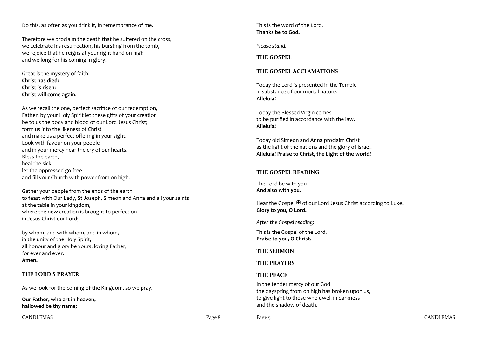Do this, as often as you drink it, in remembrance of me.

Therefore we proclaim the death that he suffered on the cross, we celebrate his resurrection, his bursting from the tomb, we rejoice that he reigns at your right hand on high and we long for his coming in glory.

Great is the mystery of faith: **Christ has died: Christ is risen: Christ will come again.**

As we recall the one, perfect sacrifice of our redemption, Father, by your Holy Spirit let these gifts of your creation be to us the body and blood of our Lord Jesus Christ; form us into the likeness of Christ and make us a perfect offering in your sight. Look with favour on your people and in your mercy hear the cry of our hearts. Bless the earth, heal the sick, let the oppressed go free and fill your Church with power from on high.

Gather your people from the ends of the earth to feast with Our Lady, St Joseph, Simeon and Anna and all your saints at the table in your kingdom, where the new creation is brought to perfection in Jesus Christ our Lord;

by whom, and with whom, and in whom, in the unity of the Holy Spirit, all honour and glory be yours, loving Father, for ever and ever. **Amen.**

## **THE LORD'S PRAYER**

As we look for the coming of the Kingdom, so we pray.

**Our Father, who art in heaven, hallowed be thy name;**

CANDLEMAS Page 8

This is the word of the Lord. **Thanks be to God.**

*Please stand.* 

**THE GOSPEL** 

## **THE GOSPEL ACCLAMATIONS**

Today the Lord is presented in the Temple in substance of our mortal nature. **Alleluia!**

Today the Blessed Virgin comes to be purified in accordance with the law. **Alleluia!**

Today old Simeon and Anna proclaim Christ as the light of the nations and the glory of Israel. **Alleluia! Praise to Christ, the Light of the world!**

## **THE GOSPEL READING**

The Lord be with you. **And also with you.**

Hear the Gospel  $\mathbb F$  of our Lord Jesus Christ according to Luke. **Glory to you, O Lord.**

*After the Gospel reading:*

This is the Gospel of the Lord. **Praise to you, O Christ.**

## **THE SERMON**

## **THE PRAYERS**

## **THE PEACE**

In the tender mercy of our God the dayspring from on high has broken upon us, to give light to those who dwell in darkness and the shadow of death,